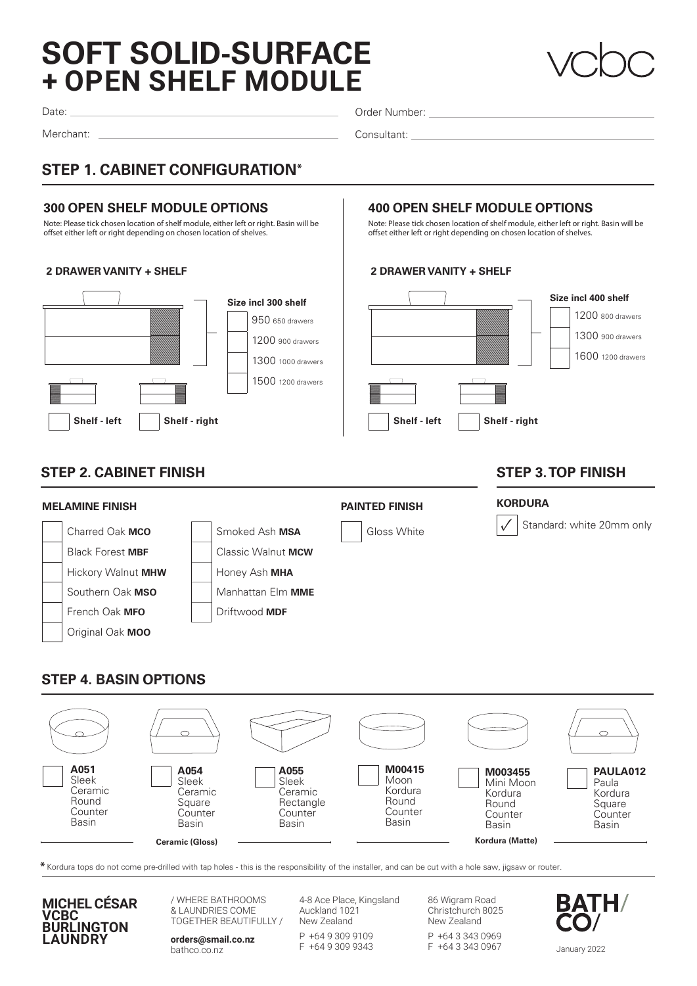# **+ OPEN SHELF MODULE SOFT SOLID-SURFACE**



Date:

Merchant:

Order Number:

Consultant:

## **STEP 1. CABINET CONFIGURATION\***

#### **300 OPEN SHELF MODULE OPTIONS**

Note: Please tick chosen location of shelf module, either left or right. Basin will be offset either left or right depending on chosen location of shelves.

#### **2 DRAWER VANITY + SHELF**



#### **400 OPEN SHELF MODULE OPTIONS**

Note: Please tick chosen location of shelf module, either left or right. Basin will be offset either left or right depending on chosen location of shelves.

#### **2 DRAWER VANITY + SHELF**



#### **STEP 2. CABINET FINISH**

#### **MELAMINE FINISH PAINTED FINISH** Charred Oak **MCO** Smoked Ash **MSA** Gloss White Black Forest **MBF** Classic Walnut **MCW** Hickory Walnut **MHW** Honey Ash MHA Southern Oak **MSO Manhattan Elm MME French Oak MFO** Driftwood MDF Original Oak **MOO KORDURA** Standard: white 20mm only

#### **STEP 4. BASIN OPTIONS**



**\***Kordura tops do not come pre-drilled with tap holes - this is the responsibility of the installer, and can be cut with a hole saw, jigsaw or router.



/ WHERE BATHROOMS & LAUNDRIES COME TOGETHER BEAUTIFULLY /

**orders@smail.co.nz** bathco.co.nz

4-8 Ace Place, Kingsland Auckland 1021 New Zealand

P +64 9 309 9109 F +64 9 309 9343 86 Wigram Road Christchurch 8025 New Zealand

P +64 3 343 0969 F +64 3 343 0967



### **STEP 3. TOP FINISH**